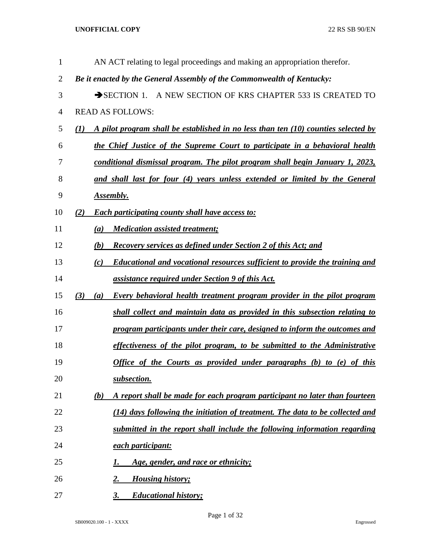| $\mathbf{1}$   |              |     | AN ACT relating to legal proceedings and making an appropriation therefor.           |
|----------------|--------------|-----|--------------------------------------------------------------------------------------|
| $\overline{2}$ |              |     | Be it enacted by the General Assembly of the Commonwealth of Kentucky:               |
| 3              |              |     | SECTION 1. A NEW SECTION OF KRS CHAPTER 533 IS CREATED TO                            |
| $\overline{4}$ |              |     | <b>READ AS FOLLOWS:</b>                                                              |
| 5              | $\mathbf{U}$ |     | A pilot program shall be established in no less than ten $(10)$ counties selected by |
| 6              |              |     | the Chief Justice of the Supreme Court to participate in a behavioral health         |
| 7              |              |     | conditional dismissal program. The pilot program shall begin January 1, 2023,        |
| 8              |              |     | and shall last for four (4) years unless extended or limited by the General          |
| 9              |              |     | <u>Assembly.</u>                                                                     |
| 10             | (2)          |     | <b>Each participating county shall have access to:</b>                               |
| 11             |              | (a) | <b>Medication assisted treatment;</b>                                                |
| 12             |              | (b) | <b>Recovery services as defined under Section 2 of this Act; and</b>                 |
| 13             |              | (c) | <b>Educational and vocational resources sufficient to provide the training and</b>   |
| 14             |              |     | <u>assistance required under Section 9 of this Act.</u>                              |
| 15             | (3)          | (a) | <b>Every behavioral health treatment program provider in the pilot program</b>       |
| 16             |              |     | shall collect and maintain data as provided in this subsection relating to           |
| 17             |              |     | <u>program participants under their care, designed to inform the outcomes and</u>    |
| 18             |              |     | effectiveness of the pilot program, to be submitted to the Administrative            |
| 19             |              |     | Office of the Courts as provided under paragraphs (b) to (e) of this                 |
| 20             |              |     | subsection.                                                                          |
| 21             |              | (b) | A report shall be made for each program participant no later than fourteen           |
| 22             |              |     | (14) days following the initiation of treatment. The data to be collected and        |
| 23             |              |     | submitted in the report shall include the following information regarding            |
| 24             |              |     | each participant:                                                                    |
| 25             |              |     | Age, gender, and race or ethnicity;                                                  |
| 26             |              |     | <b>Housing history;</b><br><u>2.</u>                                                 |
| 27             |              |     | <b>Educational history;</b><br>3.                                                    |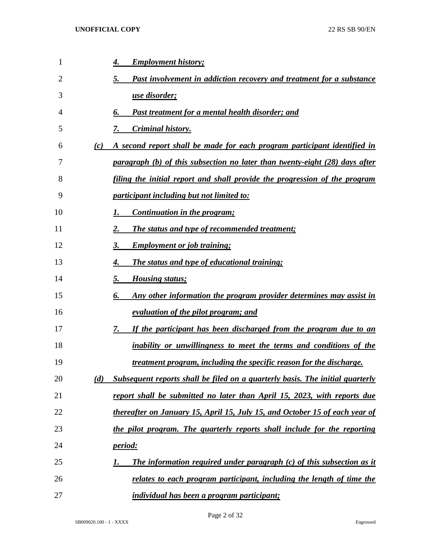| 1  |     | <b>Employment history;</b><br>4.                                                     |
|----|-----|--------------------------------------------------------------------------------------|
| 2  |     | Past involvement in addiction recovery and treatment for a substance<br>5.           |
| 3  |     | <u>use disorder;</u>                                                                 |
| 4  |     | Past treatment for a mental health disorder; and<br>6.                               |
| 5  |     | Criminal history.<br>7.                                                              |
| 6  | (c) | A second report shall be made for each program participant identified in             |
| 7  |     | paragraph (b) of this subsection no later than twenty-eight (28) days after          |
| 8  |     | <u>filing the initial report and shall provide the progression of the program</u>    |
| 9  |     | <i><u><b>participant including but not limited to:</b></u></i>                       |
| 10 |     | Continuation in the program;<br>1.                                                   |
| 11 |     | The status and type of recommended treatment;<br>2.                                  |
| 12 |     | <b>Employment or job training;</b><br>3.                                             |
| 13 |     | <b>The status and type of educational training;</b><br>4.                            |
| 14 |     | 5.<br><b>Housing status;</b>                                                         |
| 15 |     | 6.<br>Any other information the program provider determines may assist in            |
| 16 |     | <u>evaluation of the pilot program; and</u>                                          |
| 17 |     | If the participant has been discharged from the program due to an<br>7.              |
| 18 |     | <i>inability or unwillingness to meet the terms and conditions of the</i>            |
| 19 |     | <u>treatment program, including the specific reason for the discharge.</u>           |
| 20 | (d) | <b>Subsequent reports shall be filed on a quarterly basis. The initial quarterly</b> |
| 21 |     | report shall be submitted no later than April 15, 2023, with reports due             |
| 22 |     | thereafter on January 15, April 15, July 15, and October 15 of each year of          |
| 23 |     | the pilot program. The quarterly reports shall include for the reporting             |
| 24 |     | <u>period:</u>                                                                       |
| 25 |     | <b>The information required under paragraph (c) of this subsection as it</b><br>1.   |
| 26 |     | relates to each program participant, including the length of time the                |
| 27 |     | <i>individual has been a program participant;</i>                                    |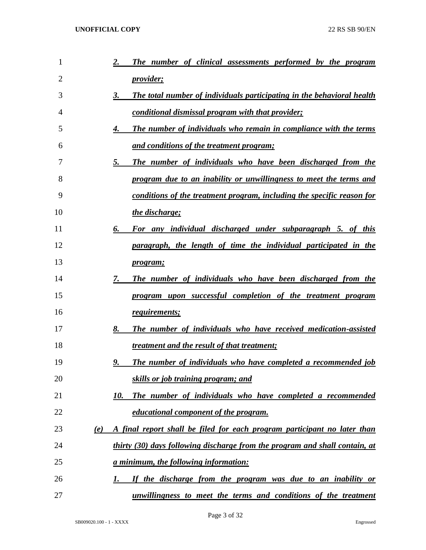| $\mathbf{1}$   |     | The number of clinical assessments performed by the program<br>2.            |
|----------------|-----|------------------------------------------------------------------------------|
| $\overline{2}$ |     | <u>provider;</u>                                                             |
| 3              |     | The total number of individuals participating in the behavioral health<br>3. |
| 4              |     | <u>conditional dismissal program with that provider;</u>                     |
| 5              |     | The number of individuals who remain in compliance with the terms<br>4.      |
| 6              |     | <u>and conditions of the treatment program;</u>                              |
| 7              |     | 5.<br>The number of individuals who have been discharged from the            |
| 8              |     | program due to an inability or unwillingness to meet the terms and           |
| 9              |     | conditions of the treatment program, including the specific reason for       |
| 10             |     | the discharge;                                                               |
| 11             |     | 6.<br>For any individual discharged under subparagraph 5. of this            |
| 12             |     | paragraph, the length of time the individual participated in the             |
| 13             |     | <i>program;</i>                                                              |
| 14             |     | 7.<br>The number of individuals who have been discharged from the            |
| 15             |     | program upon successful completion of the treatment program                  |
| 16             |     | requirements;                                                                |
| 17             |     | The number of individuals who have received medication-assisted<br>8.        |
| 18             |     | treatment and the result of that treatment;                                  |
| 19             |     | 9.<br><b>The number of individuals who have completed a recommended job</b>  |
| 20             |     | skills or job training program; and                                          |
| 21             |     | The number of individuals who have completed a recommended<br>10.            |
| 22             |     | educational component of the program.                                        |
| 23             | (e) | A final report shall be filed for each program participant no later than     |
| 24             |     | thirty (30) days following discharge from the program and shall contain, at  |
| 25             |     | <u>a minimum, the following information:</u>                                 |
| 26             |     | If the discharge from the program was due to an inability or<br>1.           |
| 27             |     | unwillingness to meet the terms and conditions of the treatment              |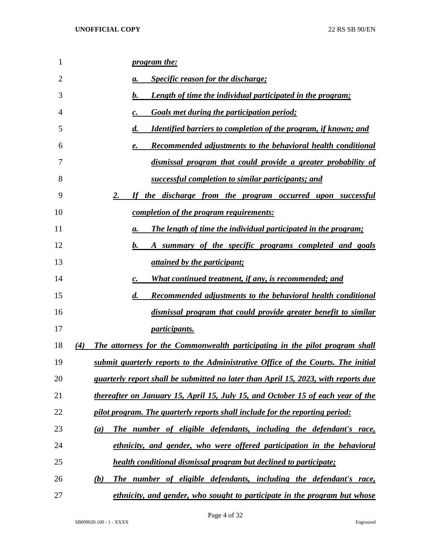| 1  | <i>program the:</i>                                                                          |
|----|----------------------------------------------------------------------------------------------|
| 2  | <b>Specific reason for the discharge;</b><br>a.                                              |
| 3  | $\bm{b}$ .<br><b>Length of time the individual participated in the program;</b>              |
| 4  | <b>Goals met during the participation period;</b><br>c.                                      |
| 5  | $\boldsymbol{d}$ .<br><b>Identified barriers to completion of the program, if known; and</b> |
| 6  | <b>Recommended adjustments to the behavioral health conditional</b><br>e.                    |
| 7  | dismissal program that could provide a greater probability of                                |
| 8  | successful completion to similar participants; and                                           |
| 9  | 2.<br>If the discharge from the program occurred upon successful                             |
| 10 | <u>completion of the program requirements:</u>                                               |
| 11 | <b>The length of time the individual participated in the program;</b><br>a.                  |
| 12 | $\boldsymbol{b}$ .<br>A summary of the specific programs completed and goals                 |
| 13 | <i>attained by the participant;</i>                                                          |
| 14 | What continued treatment, if any, is recommended; and<br>c.                                  |
| 15 | $\boldsymbol{d}$ .<br><b>Recommended adjustments to the behavioral health conditional</b>    |
| 16 | dismissal program that could provide greater benefit to similar                              |
| 17 | <i>participants.</i>                                                                         |
| 18 | (4)<br>The attorneys for the Commonwealth participating in the pilot program shall           |
| 19 | submit quarterly reports to the Administrative Office of the Courts. The initial             |
| 20 | <i>quarterly report shall be submitted no later than April 15, 2023, with reports due</i>    |
| 21 | thereafter on January 15, April 15, July 15, and October 15 of each year of the              |
| 22 | pilot program. The quarterly reports shall include for the reporting period:                 |
| 23 | The number of eligible defendants, including the defendant's race,<br>(a)                    |
| 24 | ethnicity, and gender, who were offered participation in the behavioral                      |
| 25 | health conditional dismissal program but declined to participate;                            |
| 26 | The number of eligible defendants, including the defendant's race,<br>(b)                    |
| 27 | ethnicity, and gender, who sought to participate in the program but whose                    |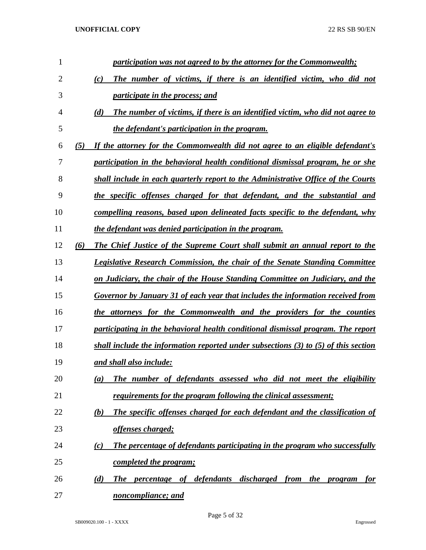| 1              |     | participation was not agreed to by the attorney for the Commonwealth;                   |
|----------------|-----|-----------------------------------------------------------------------------------------|
| $\overline{2}$ |     | The number of victims, if there is an identified victim, who did not<br>(c)             |
| 3              |     | <i>participate in the process; and</i>                                                  |
| 4              |     | The number of victims, if there is an identified victim, who did not agree to<br>(d)    |
| 5              |     | the defendant's participation in the program.                                           |
| 6              | (5) | If the attorney for the Commonwealth did not agree to an eligible defendant's           |
| 7              |     | participation in the behavioral health conditional dismissal program, he or she         |
| 8              |     | shall include in each quarterly report to the Administrative Office of the Courts       |
| 9              |     | the specific offenses charged for that defendant, and the substantial and               |
| 10             |     | compelling reasons, based upon delineated facts specific to the defendant, why          |
| 11             |     | the defendant was denied participation in the program.                                  |
| 12             | (6) | The Chief Justice of the Supreme Court shall submit an annual report to the             |
| 13             |     | <b>Legislative Research Commission, the chair of the Senate Standing Committee</b>      |
| 14             |     | on Judiciary, the chair of the House Standing Committee on Judiciary, and the           |
| 15             |     | Governor by January 31 of each year that includes the information received from         |
| 16             |     | the attorneys for the Commonwealth and the providers for the counties                   |
| 17             |     | participating in the behavioral health conditional dismissal program. The report        |
| 18             |     | shall include the information reported under subsections $(3)$ to $(5)$ of this section |
| 19             |     | and shall also include:                                                                 |
| 20             |     | The number of defendants assessed who did not meet the eligibility<br>(a)               |
| 21             |     | requirements for the program following the clinical assessment;                         |
| 22             |     | The specific offenses charged for each defendant and the classification of<br>(b)       |
| 23             |     | offenses charged;                                                                       |
| 24             |     | The percentage of defendants participating in the program who successfully<br>(c)       |
| 25             |     | <u>completed the program;</u>                                                           |
| 26             |     | The percentage of defendants<br>discharged from the program<br>(d)<br>for               |
| 27             |     | noncompliance; and                                                                      |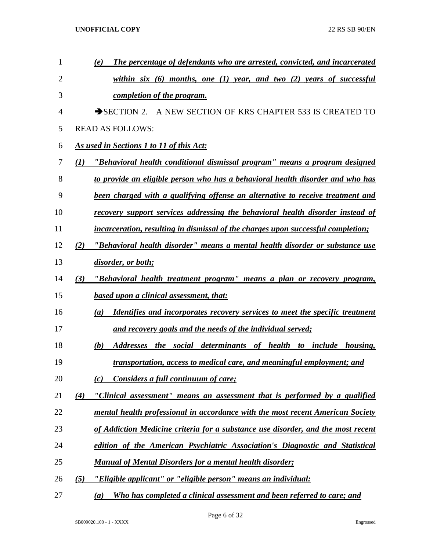| 1              |                  | The percentage of defendants who are arrested, convicted, and incarcerated<br>(e)                |
|----------------|------------------|--------------------------------------------------------------------------------------------------|
| $\overline{2}$ |                  | within six $(6)$ months, one $(1)$ year, and two $(2)$ years of successful                       |
| 3              |                  | completion of the program.                                                                       |
| 4              |                  | SECTION 2. A NEW SECTION OF KRS CHAPTER 533 IS CREATED TO                                        |
| 5              |                  | <b>READ AS FOLLOWS:</b>                                                                          |
| 6              |                  | As used in Sections 1 to 11 of this Act:                                                         |
| 7              | $\mathcal{L}(I)$ | "Behavioral health conditional dismissal program" means a program designed                       |
| 8              |                  | to provide an eligible person who has a behavioral health disorder and who has                   |
| 9              |                  | been charged with a qualifying offense an alternative to receive treatment and                   |
| 10             |                  | recovery support services addressing the behavioral health disorder instead of                   |
| 11             |                  | <i>incarceration, resulting in dismissal of the charges upon successful completion;</i>          |
| 12             | (2)              | "Behavioral health disorder" means a mental health disorder or substance use                     |
| 13             |                  | disorder, or both;                                                                               |
| 14             | (3)              | "Behavioral health treatment program" means a plan or recovery program,                          |
| 15             |                  | <b>based upon a clinical assessment, that:</b>                                                   |
| 16             |                  | Identifies and incorporates recovery services to meet the specific treatment<br>$\left(a\right)$ |
| 17             |                  | and recovery goals and the needs of the individual served;                                       |
| 18             |                  | Addresses the social determinants of health to include housing,<br>(b)                           |
| 19             |                  | transportation, access to medical care, and meaningful employment; and                           |
| 20             |                  | Considers a full continuum of care;<br>(c)                                                       |
| 21             | (4)              | "Clinical assessment" means an assessment that is performed by a qualified                       |
| 22             |                  | mental health professional in accordance with the most recent American Society                   |
| 23             |                  | of Addiction Medicine criteria for a substance use disorder, and the most recent                 |
| 24             |                  | edition of the American Psychiatric Association's Diagnostic and Statistical                     |
| 25             |                  | <b>Manual of Mental Disorders for a mental health disorder;</b>                                  |
| 26             | (5)              | "Eligible applicant" or "eligible person" means an individual:                                   |
| 27             |                  | Who has completed a clinical assessment and been referred to care; and<br>(a)                    |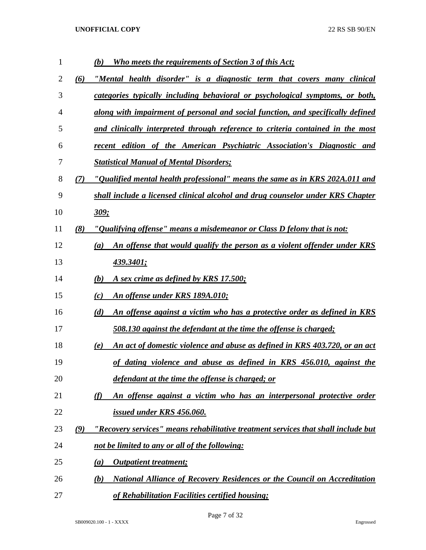| $\mathbf{1}$ |     | Who meets the requirements of Section 3 of this Act;<br>(b)                                  |
|--------------|-----|----------------------------------------------------------------------------------------------|
| 2            | (6) | "Mental health disorder" is a diagnostic term that covers many clinical                      |
| 3            |     | categories typically including behavioral or psychological symptoms, or both,                |
| 4            |     | along with impairment of personal and social function, and specifically defined              |
| 5            |     | and clinically interpreted through reference to criteria contained in the most               |
| 6            |     | recent edition of the American Psychiatric Association's Diagnostic and                      |
| 7            |     | <b>Statistical Manual of Mental Disorders;</b>                                               |
| 8            | (7) | "Qualified mental health professional" means the same as in KRS 202A.011 and                 |
| 9            |     | shall include a licensed clinical alcohol and drug counselor under KRS Chapter               |
| 10           |     | 309;                                                                                         |
| 11           | (8) | "Qualifying offense" means a misdemeanor or Class D felony that is not:                      |
| 12           |     | An offense that would qualify the person as a violent offender under KRS<br>$\left(a\right)$ |
| 13           |     | <u>439.3401;</u>                                                                             |
| 14           |     | A sex crime as defined by KRS 17.500;<br>(b)                                                 |
| 15           |     | An offense under KRS 189A.010;<br>(c)                                                        |
| 16           |     | (d)<br>An offense against a victim who has a protective order as defined in KRS              |
| 17           |     | 508.130 against the defendant at the time the offense is charged;                            |
| 18           |     | An act of domestic violence and abuse as defined in KRS 403.720, or an act<br>(e)            |
| 19           |     | of dating violence and abuse as defined in KRS 456.010, against the                          |
| 20           |     | defendant at the time the offense is charged; or                                             |
| 21           |     | An offense against a victim who has an interpersonal protective order<br>(f)                 |
| 22           |     | issued under KRS 456.060.                                                                    |
| 23           | (9) | "Recovery services" means rehabilitative treatment services that shall include but           |
| 24           |     | not be limited to any or all of the following:                                               |
| 25           |     | <b>Outpatient treatment;</b><br>(a)                                                          |
| 26           |     | <b>National Alliance of Recovery Residences or the Council on Accreditation</b><br>(b)       |
| 27           |     | of Rehabilitation Facilities certified housing;                                              |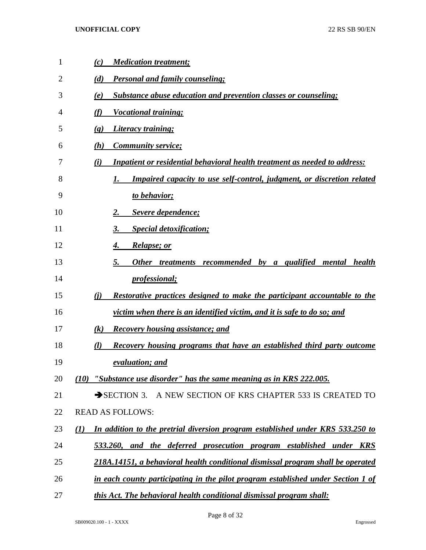| 1  | (c)<br><b>Medication treatment;</b>                                                        |
|----|--------------------------------------------------------------------------------------------|
| 2  | <b>Personal and family counseling;</b><br>(d)                                              |
| 3  | <b>Substance abuse education and prevention classes or counseling;</b><br>(e)              |
| 4  | (f)<br><b>Vocational training;</b>                                                         |
| 5  | <b>Literacy training;</b><br>$\left( \mathbf{g} \right)$                                   |
| 6  | <b>Community service;</b><br>(h)                                                           |
| 7  | <b>Inpatient or residential behavioral health treatment as needed to address:</b><br>(i)   |
| 8  | <b>Impaired capacity to use self-control, judgment, or discretion related</b>              |
| 9  | to behavior;                                                                               |
| 10 | Severe dependence;                                                                         |
| 11 | <b>Special detoxification;</b><br>3.                                                       |
| 12 | <i>Relapse; or</i><br>4.                                                                   |
| 13 | Other treatments recommended by a qualified mental health<br>5.                            |
| 14 | <i>professional</i> ;                                                                      |
| 15 | (i)<br><b>Restorative practices designed to make the participant accountable to the</b>    |
| 16 | victim when there is an identified victim, and it is safe to do so; and                    |
| 17 | $\left( k\right)$<br><b>Recovery housing assistance; and</b>                               |
| 18 | Recovery housing programs that have an established third party outcome<br>(l)              |
| 19 | evaluation; and                                                                            |
| 20 | "Substance use disorder" has the same meaning as in KRS 222.005.<br>(10)                   |
| 21 | A NEW SECTION OF KRS CHAPTER 533 IS CREATED TO<br>$\rightarrow$ SECTION 3.                 |
| 22 | <b>READ AS FOLLOWS:</b>                                                                    |
| 23 | In addition to the pretrial diversion program established under KRS 533.250 to<br>$\bf(1)$ |
| 24 | 533.260, and the deferred prosecution program established under KRS                        |
| 25 | 218A.14151, a behavioral health conditional dismissal program shall be operated            |
| 26 | in each county participating in the pilot program established under Section 1 of           |
| 27 | this Act. The behavioral health conditional dismissal program shall:                       |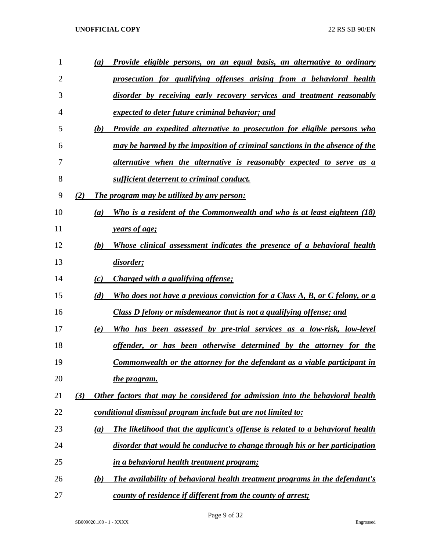| 1  | (a) | Provide eligible persons, on an equal basis, an alternative to ordinary              |
|----|-----|--------------------------------------------------------------------------------------|
| 2  |     | prosecution for qualifying offenses arising from a behavioral health                 |
| 3  |     | disorder by receiving early recovery services and treatment reasonably               |
| 4  |     | expected to deter future criminal behavior; and                                      |
| 5  | (b) | <b>Provide an expedited alternative to prosecution for eligible persons who</b>      |
| 6  |     | may be harmed by the imposition of criminal sanctions in the absence of the          |
| 7  |     | alternative when the alternative is reasonably expected to serve as a                |
| 8  |     | sufficient deterrent to criminal conduct.                                            |
| 9  | (2) | <u>The program may be utilized by any person:</u>                                    |
| 10 | (a) | Who is a resident of the Commonwealth and who is at least eighteen (18)              |
| 11 |     | years of age;                                                                        |
| 12 | (b) | Whose clinical assessment indicates the presence of a behavioral health              |
| 13 |     | disorder;                                                                            |
| 14 | (c) | Charged with a qualifying offense;                                                   |
| 15 | (d) | Who does not have a previous conviction for a Class A, B, or C felony, or a          |
| 16 |     | <u>Class D felony or misdemeanor that is not a qualifying offense; and</u>           |
| 17 | (e) | Who has been assessed by pre-trial services as a low-risk, low-level                 |
| 18 |     | offender, or has been otherwise determined by the attorney for the                   |
| 19 |     | <b>Commonwealth or the attorney for the defendant as a viable participant in</b>     |
| 20 |     | <u>the program.</u>                                                                  |
| 21 | (3) | Other factors that may be considered for admission into the behavioral health        |
| 22 |     | conditional dismissal program include but are not limited to:                        |
| 23 | (a) | <b>The likelihood that the applicant's offense is related to a behavioral health</b> |
| 24 |     | disorder that would be conducive to change through his or her participation          |
| 25 |     | <u>in a behavioral health treatment program;</u>                                     |
| 26 | (b) | The availability of behavioral health treatment programs in the defendant's          |
| 27 |     | county of residence if different from the county of arrest;                          |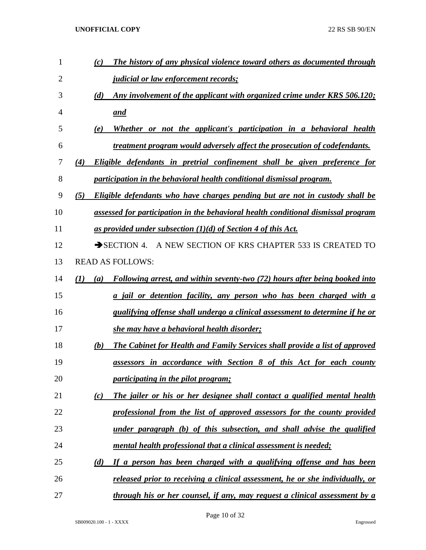| 1              | The history of any physical violence toward others as documented through<br>(c)           |
|----------------|-------------------------------------------------------------------------------------------|
| $\overline{2}$ | <i><u><b>judicial or law enforcement records;</b></u></i>                                 |
| 3              | Any involvement of the applicant with organized crime under KRS 506.120;<br>(d)           |
| $\overline{4}$ | and                                                                                       |
| 5              | Whether or not the applicant's participation in a behavioral health<br>(e)                |
| 6              | treatment program would adversely affect the prosecution of codefendants.                 |
| 7              | Eligible defendants in pretrial confinement shall be given preference for<br>(4)          |
| 8              | participation in the behavioral health conditional dismissal program.                     |
| 9              | Eligible defendants who have charges pending but are not in custody shall be<br>(5)       |
| 10             | assessed for participation in the behavioral health conditional dismissal program         |
| 11             | as provided under subsection $(1)(d)$ of Section 4 of this Act.                           |
| 12             | SECTION 4. A NEW SECTION OF KRS CHAPTER 533 IS CREATED TO                                 |
| 13             | <b>READ AS FOLLOWS:</b>                                                                   |
| 14             | (1)<br>Following arrest, and within seventy-two (72) hours after being booked into<br>(a) |
| 15             | a jail or detention facility, any person who has been charged with a                      |
| 16             | <i>qualifying offense shall undergo a clinical assessment to determine if he or</i>       |
| 17             | she may have a behavioral health disorder;                                                |
| 18             | The Cabinet for Health and Family Services shall provide a list of approved<br>(b)        |
| 19             | assessors in accordance with Section 8 of this Act for each county                        |
| 20             | <i>participating in the pilot program;</i>                                                |
| 21             | The jailer or his or her designee shall contact a qualified mental health<br>(c)          |
| 22             | professional from the list of approved assessors for the county provided                  |
| 23             | under paragraph (b) of this subsection, and shall advise the qualified                    |
| 24             | mental health professional that a clinical assessment is needed;                          |
| 25             | If a person has been charged with a qualifying offense and has been<br>(d)                |
| 26             | <u>released prior to receiving a clinical assessment, he or she individually, or</u>      |
| 27             | through his or her counsel, if any, may request a clinical assessment by a                |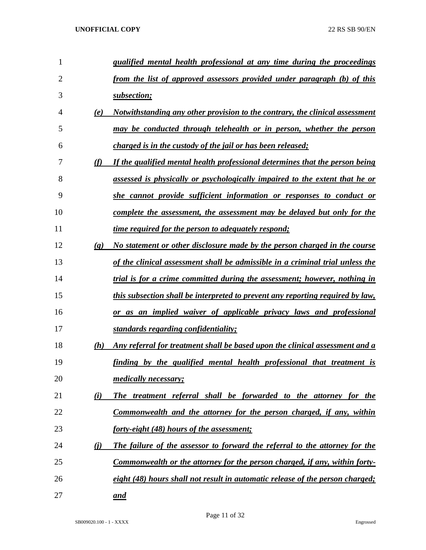| 1              |                             | qualified mental health professional at any time during the proceedings           |
|----------------|-----------------------------|-----------------------------------------------------------------------------------|
| $\overline{2}$ |                             | from the list of approved assessors provided under paragraph (b) of this          |
| 3              |                             | subsection;                                                                       |
| 4              | (e)                         | Notwithstanding any other provision to the contrary, the clinical assessment      |
| 5              |                             | may be conducted through telehealth or in person, whether the person              |
| 6              |                             | charged is in the custody of the jail or has been released;                       |
| 7              | (f)                         | If the qualified mental health professional determines that the person being      |
| 8              |                             | assessed is physically or psychologically impaired to the extent that he or       |
| 9              |                             | she cannot provide sufficient information or responses to conduct or              |
| 10             |                             | complete the assessment, the assessment may be delayed but only for the           |
| 11             |                             | <i>time required for the person to adequately respond;</i>                        |
| 12             | $\left( \mathbf{g} \right)$ | No statement or other disclosure made by the person charged in the course         |
| 13             |                             | of the clinical assessment shall be admissible in a criminal trial unless the     |
| 14             |                             | trial is for a crime committed during the assessment; however, nothing in         |
| 15             |                             | this subsection shall be interpreted to prevent any reporting required by law,    |
| 16             |                             | or as an implied waiver of applicable privacy laws and professional               |
| 17             |                             | standards regarding confidentiality;                                              |
| 18             | (h)                         | Any referral for treatment shall be based upon the clinical assessment and a      |
| 19             |                             | finding by the qualified mental health professional that treatment is             |
| 20             |                             | <i>medically necessary;</i>                                                       |
| 21             | (i)                         | The treatment referral shall be forwarded to the attorney for the                 |
| 22             |                             | Commonwealth and the attorney for the person charged, if any, within              |
| 23             |                             | <u>forty-eight (48) hours of the assessment;</u>                                  |
| 24             | (i)                         | The failure of the assessor to forward the referral to the attorney for the       |
| 25             |                             | <u>Commonwealth or the attorney for the person charged, if any, within forty-</u> |
| 26             |                             | eight (48) hours shall not result in automatic release of the person charged;     |
| 27             |                             | and                                                                               |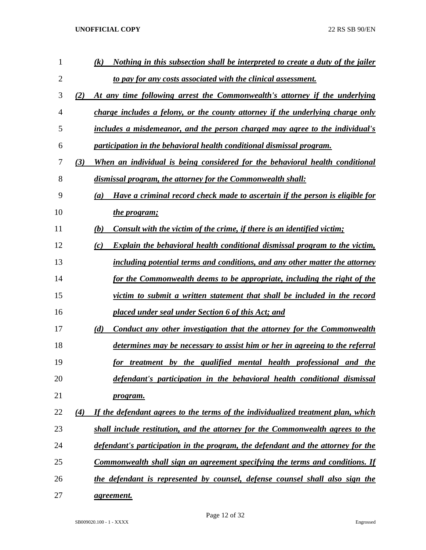| 1              | Nothing in this subsection shall be interpreted to create a duty of the jailer<br>(k)                 |
|----------------|-------------------------------------------------------------------------------------------------------|
| $\overline{2}$ | to pay for any costs associated with the clinical assessment.                                         |
| 3              | (2)<br>At any time following arrest the Commonwealth's attorney if the underlying                     |
| 4              | charge includes a felony, or the county attorney if the underlying charge only                        |
| 5              | includes a misdemeanor, and the person charged may agree to the individual's                          |
| 6              | participation in the behavioral health conditional dismissal program.                                 |
| 7              | When an individual is being considered for the behavioral health conditional<br>(3)                   |
| 8              | dismissal program, the attorney for the Commonwealth shall:                                           |
| 9              | Have a criminal record check made to ascertain if the person is eligible for<br>(a)                   |
| 10             | the program;                                                                                          |
| 11             | (b)<br>Consult with the victim of the crime, if there is an identified victim;                        |
| 12             | <b>Explain the behavioral health conditional dismissal program to the victim,</b><br>(c)              |
| 13             | including potential terms and conditions, and any other matter the attorney                           |
| 14             | for the Commonwealth deems to be appropriate, including the right of the                              |
| 15             | victim to submit a written statement that shall be included in the record                             |
| 16             | placed under seal under Section 6 of this Act; and                                                    |
| 17             | (d)<br>Conduct any other investigation that the attorney for the Commonwealth                         |
| 18             | determines may be necessary to assist him or her in agreeing to the referral                          |
| 19             | for treatment by the qualified mental health professional and the                                     |
| 20             | defendant's participation in the behavioral health conditional dismissal                              |
| 21             | program.                                                                                              |
| 22             | If the defendant agrees to the terms of the individualized treatment plan, which<br>$\left( 4\right)$ |
| 23             | shall include restitution, and the attorney for the Commonwealth agrees to the                        |
| 24             | defendant's participation in the program, the defendant and the attorney for the                      |
| 25             | <u>Commonwealth shall sign an agreement specifying the terms and conditions. If</u>                   |
| 26             | the defendant is represented by counsel, defense counsel shall also sign the                          |
| 27             | <i>agreement.</i>                                                                                     |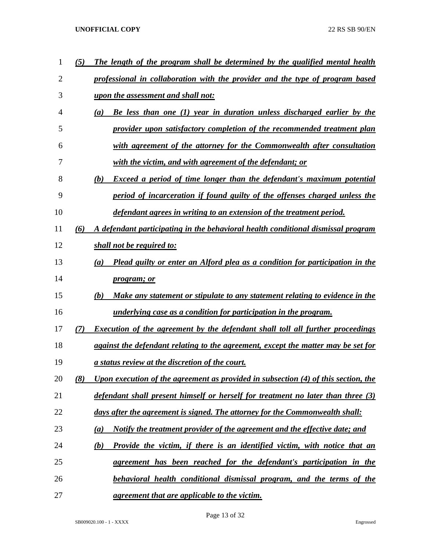| 1  | (5) | The length of the program shall be determined by the qualified mental health          |
|----|-----|---------------------------------------------------------------------------------------|
| 2  |     | professional in collaboration with the provider and the type of program based         |
| 3  |     | upon the assessment and shall not:                                                    |
| 4  |     | Be less than one (1) year in duration unless discharged earlier by the<br>(a)         |
| 5  |     | provider upon satisfactory completion of the recommended treatment plan               |
| 6  |     | with agreement of the attorney for the Commonwealth after consultation                |
| 7  |     | with the victim, and with agreement of the defendant; or                              |
| 8  |     | <b>Exceed a period of time longer than the defendant's maximum potential</b><br>(b)   |
| 9  |     | period of incarceration if found guilty of the offenses charged unless the            |
| 10 |     | defendant agrees in writing to an extension of the treatment period.                  |
| 11 | (6) | A defendant participating in the behavioral health conditional dismissal program      |
| 12 |     | shall not be required to:                                                             |
| 13 |     | Plead guilty or enter an Alford plea as a condition for participation in the<br>(a)   |
| 14 |     | <i>program; or</i>                                                                    |
| 15 |     | (b)<br>Make any statement or stipulate to any statement relating to evidence in the   |
| 16 |     | <u>underlying case as a condition for participation in the program.</u>               |
| 17 | (7) | <b>Execution of the agreement by the defendant shall toll all further proceedings</b> |
| 18 |     | against the defendant relating to the agreement, except the matter may be set for     |
| 19 |     | <u>a status review at the discretion of the court.</u>                                |
| 20 | (8) | Upon execution of the agreement as provided in subsection (4) of this section, the    |
| 21 |     | defendant shall present himself or herself for treatment no later than three (3)      |
| 22 |     | days after the agreement is signed. The attorney for the Commonwealth shall:          |
| 23 |     | Notify the treatment provider of the agreement and the effective date; and<br>(a)     |
| 24 |     | Provide the victim, if there is an identified victim, with notice that an<br>(b)      |
| 25 |     | agreement has been reached for the defendant's participation in the                   |
| 26 |     | <b>behavioral health conditional dismissal program, and the terms of the</b>          |
| 27 |     | agreement that are applicable to the victim.                                          |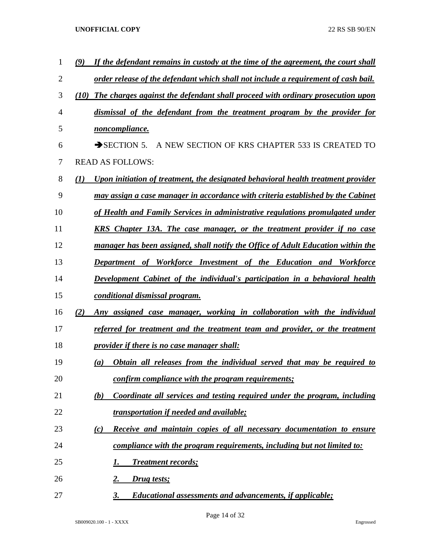| 1  | If the defendant remains in custody at the time of the agreement, the court shall<br>(9)              |
|----|-------------------------------------------------------------------------------------------------------|
| 2  | order release of the defendant which shall not include a requirement of cash bail.                    |
| 3  | The charges against the defendant shall proceed with ordinary prosecution upon<br>(10)                |
| 4  | dismissal of the defendant from the treatment program by the provider for                             |
| 5  | noncompliance.                                                                                        |
| 6  | $\rightarrow$ SECTION 5.<br>A NEW SECTION OF KRS CHAPTER 533 IS CREATED TO                            |
| 7  | <b>READ AS FOLLOWS:</b>                                                                               |
| 8  | $\mathcal{L}(I)$<br>Upon initiation of treatment, the designated behavioral health treatment provider |
| 9  | may assign a case manager in accordance with criteria established by the Cabinet                      |
| 10 | of Health and Family Services in administrative regulations promulgated under                         |
| 11 | KRS Chapter 13A. The case manager, or the treatment provider if no case                               |
| 12 | manager has been assigned, shall notify the Office of Adult Education within the                      |
| 13 | <b>Department of Workforce Investment of the Education and</b><br><b>Workforce</b>                    |
| 14 | Development Cabinet of the individual's participation in a behavioral health                          |
| 15 | conditional dismissal program.                                                                        |
| 16 | (2)<br>Any assigned case manager, working in collaboration with the individual                        |
| 17 | referred for treatment and the treatment team and provider, or the treatment                          |
| 18 | provider if there is no case manager shall:                                                           |
| 19 | Obtain all releases from the individual served that may be required to<br>(a)                         |
| 20 | confirm compliance with the program requirements;                                                     |
| 21 | Coordinate all services and testing required under the program, including<br>(b)                      |
| 22 | <i>transportation if needed and available;</i>                                                        |
| 23 | Receive and maintain copies of all necessary documentation to ensure<br>$\left( c\right)$             |
| 24 | compliance with the program requirements, including but not limited to:                               |
| 25 | <b>Treatment records;</b><br>I.                                                                       |
| 26 | 2.<br>Drug tests;                                                                                     |
| 27 | 3.<br><b>Educational assessments and advancements, if applicable;</b>                                 |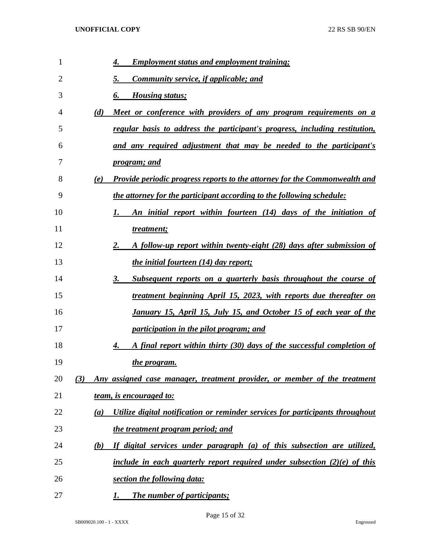| 1  | <b>Employment status and employment training;</b><br>4.                                  |
|----|------------------------------------------------------------------------------------------|
| 2  | <b>Community service, if applicable; and</b><br>5.                                       |
| 3  | <b>Housing status;</b><br>6.                                                             |
| 4  | Meet or conference with providers of any program requirements on a<br>(d)                |
| 5  | regular basis to address the participant's progress, including restitution,              |
| 6  | and any required adjustment that may be needed to the participant's                      |
| 7  | <u>program; and</u>                                                                      |
| 8  | <b>Provide periodic progress reports to the attorney for the Commonwealth and</b><br>(e) |
| 9  | the attorney for the participant according to the following schedule:                    |
| 10 | An initial report within fourteen (14) days of the initiation of<br>1.                   |
| 11 | treatment;                                                                               |
| 12 | A follow-up report within twenty-eight (28) days after submission of<br>2.               |
| 13 | <i>the initial fourteen (14) day report;</i>                                             |
| 14 | <u>Subsequent reports on a quarterly basis throughout the course of</u><br>3.            |
| 15 | treatment beginning April 15, 2023, with reports due thereafter on                       |
| 16 | January 15, April 15, July 15, and October 15 of each year of the                        |
| 17 | participation in the pilot program; and                                                  |
| 18 | A final report within thirty (30) days of the successful completion of<br>4.             |
| 19 | the program.                                                                             |
| 20 | Any assigned case manager, treatment provider, or member of the treatment<br>(3)         |
| 21 | team, is encouraged to:                                                                  |
| 22 | Utilize digital notification or reminder services for participants throughout<br>(a)     |
| 23 | the treatment program period; and                                                        |
| 24 | If digital services under paragraph (a) of this subsection are utilized,<br>(b)          |
| 25 | include in each quarterly report required under subsection $(2)(e)$ of this              |
| 26 | section the following data:                                                              |
| 27 | The number of participants;                                                              |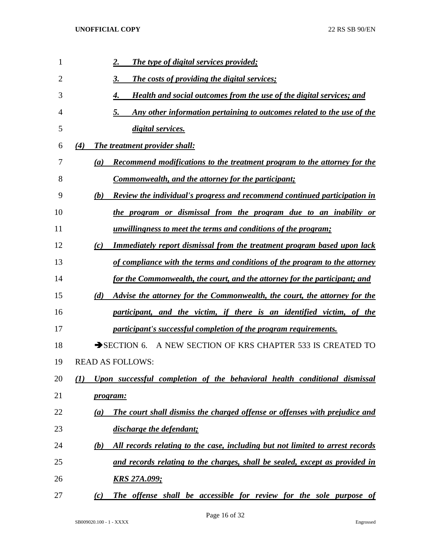| 1  | <b>The type of digital services provided;</b><br>2.                                                 |
|----|-----------------------------------------------------------------------------------------------------|
| 2  | <b>The costs of providing the digital services;</b><br>3.                                           |
| 3  | Health and social outcomes from the use of the digital services; and<br>4.                          |
| 4  | Any other information pertaining to outcomes related to the use of the<br>5.                        |
| 5  | digital services.                                                                                   |
| 6  | The treatment provider shall:<br>(4)                                                                |
| 7  | <b>Recommend modifications to the treatment program to the attorney for the</b><br>$\left(a\right)$ |
| 8  | Commonwealth, and the attorney for the participant;                                                 |
| 9  | Review the individual's progress and recommend continued participation in<br>(b)                    |
| 10 | the program or dismissal from the program due to an inability or                                    |
| 11 | <u>unwillingness to meet the terms and conditions of the program;</u>                               |
| 12 | <b>Immediately report dismissal from the treatment program based upon lack</b><br>(c)               |
| 13 | of compliance with the terms and conditions of the program to the attorney                          |
| 14 | for the Commonwealth, the court, and the attorney for the participant; and                          |
| 15 | Advise the attorney for the Commonwealth, the court, the attorney for the<br>(d)                    |
| 16 | participant, and the victim, if there is an identified victim, of the                               |
| 17 | participant's successful completion of the program requirements.                                    |
| 18 | SECTION 6. A NEW SECTION OF KRS CHAPTER 533 IS CREATED TO                                           |
| 19 | <b>READ AS FOLLOWS:</b>                                                                             |
| 20 | Upon successful completion of the behavioral health conditional dismissal<br>(I)                    |
| 21 | <i>program:</i>                                                                                     |
| 22 | The court shall dismiss the charged offense or offenses with prejudice and<br>(a)                   |
| 23 | discharge the defendant;                                                                            |
| 24 | All records relating to the case, including but not limited to arrest records<br><u>(b)</u>         |
| 25 | and records relating to the charges, shall be sealed, except as provided in                         |
| 26 | <u>KRS 27A.099;</u>                                                                                 |
| 27 | The offense shall be accessible for review for the sole purpose of<br>(c)                           |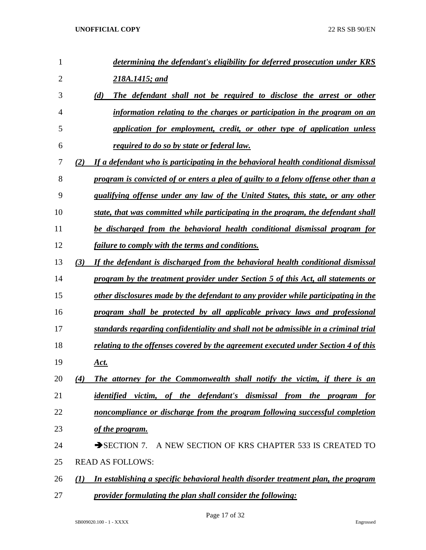| 1              | determining the defendant's eligibility for deferred prosecution under KRS                |
|----------------|-------------------------------------------------------------------------------------------|
| $\overline{2}$ | 218A.1415; and                                                                            |
| 3              | The defendant shall not be required to disclose the arrest or other<br>(d)                |
| 4              | information relating to the charges or participation in the program on an                 |
| 5              | application for employment, credit, or other type of application unless                   |
| 6              | required to do so by state or federal law.                                                |
| 7              | If a defendant who is participating in the behavioral health conditional dismissal<br>(2) |
| 8              | program is convicted of or enters a plea of guilty to a felony offense other than a       |
| 9              | qualifying offense under any law of the United States, this state, or any other           |
| 10             | state, that was committed while participating in the program, the defendant shall         |
| 11             | be discharged from the behavioral health conditional dismissal program for                |
| 12             | failure to comply with the terms and conditions.                                          |
| 13             | (3)<br>If the defendant is discharged from the behavioral health conditional dismissal    |
| 14             | program by the treatment provider under Section 5 of this Act, all statements or          |
| 15             | other disclosures made by the defendant to any provider while participating in the        |
| 16             | program shall be protected by all applicable privacy laws and professional                |
| 17             | standards regarding confidentiality and shall not be admissible in a criminal trial       |
| 18             | relating to the offenses covered by the agreement executed under Section 4 of this        |
| 19             | Act.                                                                                      |
| 20             | The attorney for the Commonwealth shall notify the victim, if there is an<br>(4)          |
| 21             | identified victim, of the defendant's dismissal from the program for                      |
| 22             | noncompliance or discharge from the program following successful completion               |
| 23             | <u>of the program.</u>                                                                    |
| 24             | SECTION 7. A NEW SECTION OF KRS CHAPTER 533 IS CREATED TO                                 |
| 25             | <b>READ AS FOLLOWS:</b>                                                                   |
| 26             | In establishing a specific behavioral health disorder treatment plan, the program<br>(1)  |
| 27             | <i>provider formulating the plan shall consider the following:</i>                        |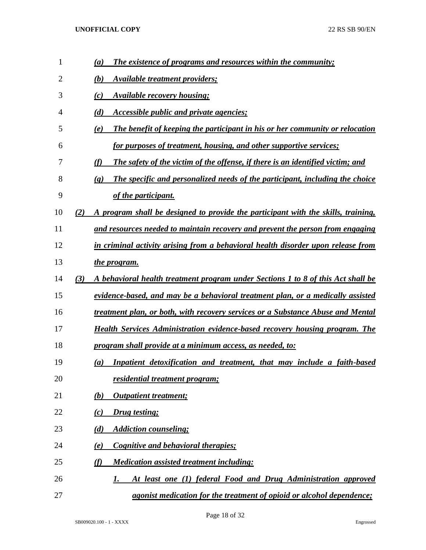| 1  | The existence of programs and resources within the community;<br>(a)                                        |
|----|-------------------------------------------------------------------------------------------------------------|
| 2  | <b>Available treatment providers;</b><br>(b)                                                                |
| 3  | <b>Available recovery housing;</b><br>(c)                                                                   |
| 4  | Accessible public and private agencies;<br>(d)                                                              |
| 5  | The benefit of keeping the participant in his or her community or relocation<br>(e)                         |
| 6  | for purposes of treatment, housing, and other supportive services;                                          |
| 7  | <b>The safety of the victim of the offense, if there is an identified victim; and</b><br>(f)                |
| 8  | The specific and personalized needs of the participant, including the choice<br>$\left( \mathbf{g} \right)$ |
| 9  | of the participant.                                                                                         |
| 10 | A program shall be designed to provide the participant with the skills, training,<br>(2)                    |
| 11 | and resources needed to maintain recovery and prevent the person from engaging                              |
| 12 | in criminal activity arising from a behavioral health disorder upon release from                            |
| 13 | the program.                                                                                                |
| 14 | (3)<br>A behavioral health treatment program under Sections 1 to 8 of this Act shall be                     |
| 15 | evidence-based, and may be a behavioral treatment plan, or a medically assisted                             |
| 16 | treatment plan, or both, with recovery services or a Substance Abuse and Mental                             |
| 17 | <b>Health Services Administration evidence-based recovery housing program. The</b>                          |
| 18 | program shall provide at a minimum access, as needed, to:                                                   |
| 19 | Inpatient detoxification and treatment, that may include a faith-based<br>$\left(a\right)$                  |
| 20 | residential treatment program;                                                                              |
| 21 | <b>Outpatient treatment;</b><br>(b)                                                                         |
| 22 | Drug testing;<br>(c)                                                                                        |
| 23 | <b>Addiction counseling;</b><br>(d)                                                                         |
| 24 | Cognitive and behavioral therapies;<br>(e)                                                                  |
| 25 | <b>Medication assisted treatment including:</b><br>(f)                                                      |
| 26 | At least one (1) federal Food and Drug Administration approved<br>1.                                        |
| 27 | <i>agonist medication for the treatment of opioid or alcohol dependence;</i>                                |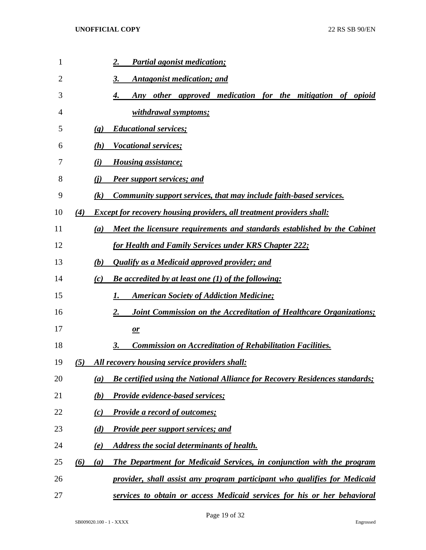| 1  | <b>Partial agonist medication;</b><br>2.                                                               |
|----|--------------------------------------------------------------------------------------------------------|
| 2  | Antagonist medication; and<br>3.                                                                       |
| 3  | Any other approved medication for the mitigation of opioid<br>4.                                       |
| 4  | withdrawal symptoms;                                                                                   |
| 5  | <b>Educational services;</b><br>$\left( \mathbf{g} \right)$                                            |
| 6  | <b>Vocational services;</b><br>(h)                                                                     |
| 7  | <i>Housing assistance;</i><br>(i)                                                                      |
| 8  | <b>Peer support services; and</b><br>(i)                                                               |
| 9  | Community support services, that may include faith-based services.<br>$\left( k\right)$                |
| 10 | <b>Except for recovery housing providers, all treatment providers shall:</b><br>(4)                    |
| 11 | Meet the licensure requirements and standards established by the Cabinet<br>(a)                        |
| 12 | for Health and Family Services under KRS Chapter 222;                                                  |
| 13 | Qualify as a Medicaid approved provider; and<br>(b)                                                    |
| 14 | <b>Be accredited by at least one (1) of the following:</b><br>(c)                                      |
| 15 | <b>American Society of Addiction Medicine;</b><br>I.                                                   |
| 16 | Joint Commission on the Accreditation of Healthcare Organizations;<br>2.                               |
| 17 | $\mathbf{r}$                                                                                           |
| 18 | <b>Commission on Accreditation of Rehabilitation Facilities.</b><br>3.                                 |
| 19 | All recovery housing service providers shall:<br>(5)                                                   |
| 20 | <b>Be certified using the National Alliance for Recovery Residences standards;</b><br>$\left(a\right)$ |
| 21 | <b>Provide evidence-based services;</b><br>(b)                                                         |
| 22 | <b>Provide a record of outcomes;</b><br>(c)                                                            |
| 23 | (d)<br><b>Provide peer support services; and</b>                                                       |
| 24 | Address the social determinants of health.<br>(e)                                                      |
| 25 | The Department for Medicaid Services, in conjunction with the program<br>(6)<br>(a)                    |
| 26 | provider, shall assist any program participant who qualifies for Medicaid                              |
| 27 | services to obtain or access Medicaid services for his or her behavioral                               |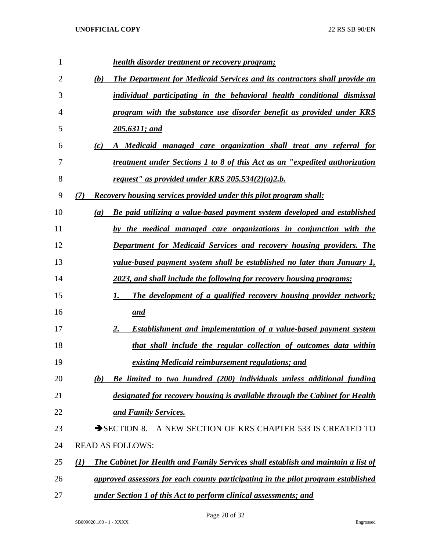| 1  |     | <b>health disorder treatment or recovery program;</b>                             |
|----|-----|-----------------------------------------------------------------------------------|
| 2  | (b) | <b>The Department for Medicaid Services and its contractors shall provide an</b>  |
| 3  |     | individual participating in the behavioral health conditional dismissal           |
| 4  |     | program with the substance use disorder benefit as provided under KRS             |
| 5  |     | $205.6311$ ; and                                                                  |
| 6  | (c) | A Medicaid managed care organization shall treat any referral for                 |
| 7  |     | treatment under Sections 1 to 8 of this Act as an "expedited authorization"       |
| 8  |     | request" as provided under KRS $205.534(2)(a)2.b.$                                |
| 9  | (7) | <b>Recovery housing services provided under this pilot program shall:</b>         |
| 10 | (a) | <b>Be paid utilizing a value-based payment system developed and established</b>   |
| 11 |     | by the medical managed care organizations in conjunction with the                 |
| 12 |     | <b>Department for Medicaid Services and recovery housing providers. The</b>       |
| 13 |     | value-based payment system shall be established no later than January 1,          |
| 14 |     | 2023, and shall include the following for recovery housing programs:              |
| 15 |     | The development of a qualified recovery housing provider network;<br>1.           |
| 16 |     | <u>and</u>                                                                        |
| 17 |     | <b>Establishment and implementation of a value-based payment system</b><br>2.     |
| 18 |     | that shall include the regular collection of outcomes data within                 |
| 19 |     | existing Medicaid reimbursement regulations; and                                  |
| 20 | (b) | Be limited to two hundred (200) individuals unless additional funding             |
| 21 |     | designated for recovery housing is available through the Cabinet for Health       |
| 22 |     | and Family Services.                                                              |
| 23 |     | $\rightarrow$ SECTION 8.<br>A NEW SECTION OF KRS CHAPTER 533 IS CREATED TO        |
| 24 |     | <b>READ AS FOLLOWS:</b>                                                           |
| 25 | (1) | The Cabinet for Health and Family Services shall establish and maintain a list of |
| 26 |     | approved assessors for each county participating in the pilot program established |
| 27 |     | under Section 1 of this Act to perform clinical assessments; and                  |

Page 20 of 32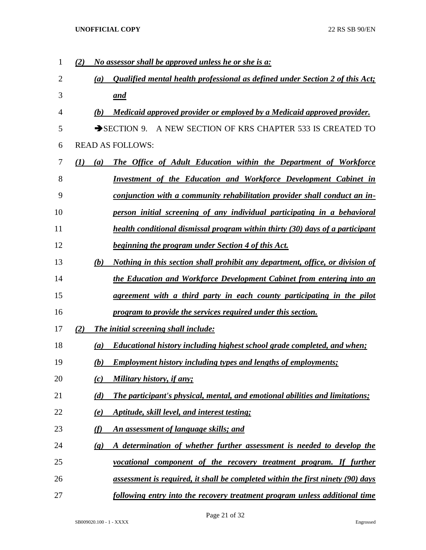| 1  | No assessor shall be approved unless he or she is a:<br>(2)                                           |
|----|-------------------------------------------------------------------------------------------------------|
| 2  | Qualified mental health professional as defined under Section 2 of this Act;<br>(a)                   |
| 3  | and                                                                                                   |
| 4  | (b)<br>Medicaid approved provider or employed by a Medicaid approved provider.                        |
| 5  | SECTION 9. A NEW SECTION OF KRS CHAPTER 533 IS CREATED TO                                             |
| 6  | <b>READ AS FOLLOWS:</b>                                                                               |
| 7  | The Office of Adult Education within the Department of Workforce<br>$\mathcal{L}(I)$<br>(a)           |
| 8  | <b>Investment of the Education and Workforce Development Cabinet in</b>                               |
| 9  | conjunction with a community rehabilitation provider shall conduct an in-                             |
| 10 | person initial screening of any individual participating in a behavioral                              |
| 11 | health conditional dismissal program within thirty (30) days of a participant                         |
| 12 | <u>beginning the program under Section 4 of this Act.</u>                                             |
| 13 | Nothing in this section shall prohibit any department, office, or division of<br>(b)                  |
| 14 | the Education and Workforce Development Cabinet from entering into an                                 |
| 15 | agreement with a third party in each county participating in the pilot                                |
| 16 | program to provide the services required under this section.                                          |
| 17 | (2)<br><b>The initial screening shall include:</b>                                                    |
| 18 | Educational history including highest school grade completed, and when;<br>(a)                        |
| 19 | <b>Employment history including types and lengths of employments;</b><br>(b)                          |
| 20 | Military history, if any;<br>(c)                                                                      |
| 21 | The participant's physical, mental, and emotional abilities and limitations;<br>(d)                   |
| 22 | Aptitude, skill level, and interest testing;<br>(e)                                                   |
| 23 | (f)<br>An assessment of language skills; and                                                          |
| 24 | A determination of whether further assessment is needed to develop the<br>$\left( \mathbf{g} \right)$ |
| 25 | vocational component of the recovery treatment program. If further                                    |
| 26 | assessment is required, it shall be completed within the first ninety (90) days                       |
| 27 | following entry into the recovery treatment program unless additional time                            |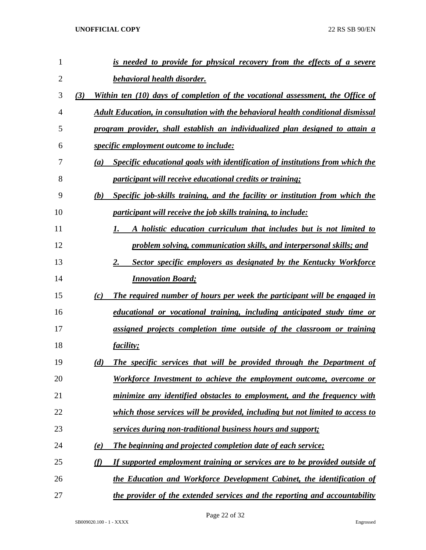| $\mathbf{1}$   | <u>is needed to provide for physical recovery from the effects of a severe</u>             |
|----------------|--------------------------------------------------------------------------------------------|
| $\overline{2}$ | behavioral health disorder.                                                                |
| 3              | Within ten (10) days of completion of the vocational assessment, the Office of<br>(3)      |
| 4              | Adult Education, in consultation with the behavioral health conditional dismissal          |
| 5              | program provider, shall establish an individualized plan designed to attain a              |
| 6              | <i>specific employment outcome to include:</i>                                             |
| 7              | Specific educational goals with identification of institutions from which the<br>(a)       |
| 8              | <i>participant will receive educational credits or training;</i>                           |
| 9              | (b)<br><b>Specific job-skills training, and the facility or institution from which the</b> |
| 10             | <i>participant will receive the job skills training, to include:</i>                       |
| 11             | A holistic education curriculum that includes but is not limited to<br>1.                  |
| 12             | problem solving, communication skills, and interpersonal skills; and                       |
| 13             | 2.<br><b>Sector specific employers as designated by the Kentucky Workforce</b>             |
| 14             | <b>Innovation Board;</b>                                                                   |
| 15             | The required number of hours per week the participant will be engaged in<br>(c)            |
| 16             | educational or vocational training, including anticipated study time or                    |
| 17             | assigned projects completion time outside of the classroom or training                     |
| 18             | <i>facility;</i>                                                                           |
| 19             | The specific services that will be provided through the Department of<br>(d)               |
| 20             | Workforce Investment to achieve the employment outcome, overcome or                        |
| 21             | minimize any identified obstacles to employment, and the frequency with                    |
| 22             | which those services will be provided, including but not limited to access to              |
| 23             | services during non-traditional business hours and support;                                |
| 24             | The beginning and projected completion date of each service;<br>(e)                        |
| 25             | If supported employment training or services are to be provided outside of<br>(f)          |
| 26             | the Education and Workforce Development Cabinet, the identification of                     |
| 27             | the provider of the extended services and the reporting and accountability                 |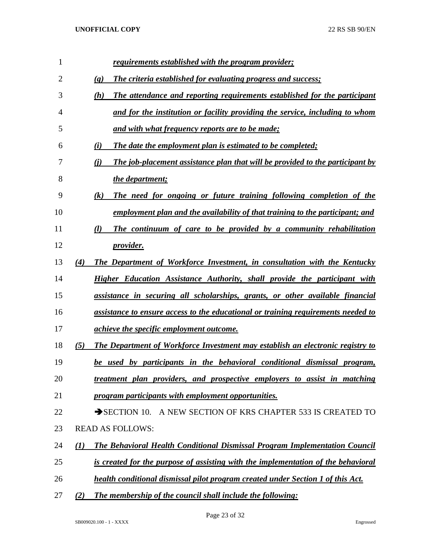| 1  | requirements established with the program provider;                                          |
|----|----------------------------------------------------------------------------------------------|
| 2  | The criteria established for evaluating progress and success;<br>$\left( \mathbf{g} \right)$ |
| 3  | The attendance and reporting requirements established for the participant<br>(h)             |
| 4  | and for the institution or facility providing the service, including to whom                 |
| 5  | and with what frequency reports are to be made;                                              |
| 6  | The date the employment plan is estimated to be completed;<br>(i)                            |
| 7  | The job-placement assistance plan that will be provided to the participant by<br>(i)         |
| 8  | the department;                                                                              |
| 9  | The need for ongoing or future training following completion of the<br>(k)                   |
| 10 | employment plan and the availability of that training to the participant; and                |
| 11 | (l)<br>The continuum of care to be provided by a community rehabilitation                    |
| 12 | <i>provider.</i>                                                                             |
| 13 | The Department of Workforce Investment, in consultation with the Kentucky<br>(4)             |
| 14 | Higher Education Assistance Authority, shall provide the participant with                    |
| 15 | assistance in securing all scholarships, grants, or other available financial                |
| 16 | assistance to ensure access to the educational or training requirements needed to            |
| 17 | <i>achieve the specific employment outcome.</i>                                              |
| 18 | (5)<br>The Department of Workforce Investment may establish an electronic registry to        |
| 19 | be used by participants in the behavioral conditional dismissal program,                     |
| 20 | treatment plan providers, and prospective employers to assist in matching                    |
| 21 | program participants with employment opportunities.                                          |
| 22 | SECTION 10. A NEW SECTION OF KRS CHAPTER 533 IS CREATED TO                                   |
| 23 | <b>READ AS FOLLOWS:</b>                                                                      |
| 24 | The Behavioral Health Conditional Dismissal Program Implementation Council<br>(I)            |
| 25 | is created for the purpose of assisting with the implementation of the behavioral            |
| 26 | health conditional dismissal pilot program created under Section 1 of this Act.              |
| 27 | The membership of the council shall include the following:<br>(2)                            |

Page 23 of 32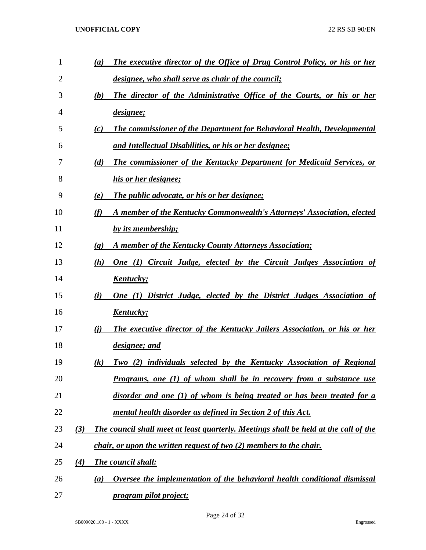| 1  |     | (a)                         | The executive director of the Office of Drug Control Policy, or his or her           |
|----|-----|-----------------------------|--------------------------------------------------------------------------------------|
| 2  |     |                             | designee, who shall serve as chair of the council;                                   |
| 3  |     | (b)                         | The director of the Administrative Office of the Courts, or his or her               |
| 4  |     |                             | designee;                                                                            |
| 5  |     | (c)                         | <b>The commissioner of the Department for Behavioral Health, Developmental</b>       |
| 6  |     |                             | and Intellectual Disabilities, or his or her designee;                               |
| 7  |     | (d)                         | <b>The commissioner of the Kentucky Department for Medicaid Services, or</b>         |
| 8  |     |                             | his or her designee;                                                                 |
| 9  |     | (e)                         | The public advocate, or his or her designee;                                         |
| 10 |     | (f)                         | A member of the Kentucky Commonwealth's Attorneys' Association, elected              |
| 11 |     |                             | by its membership;                                                                   |
| 12 |     | $\left( \mathbf{g} \right)$ | A member of the Kentucky County Attorneys Association;                               |
| 13 |     | (h)                         | One (1) Circuit Judge, elected by the Circuit Judges Association of                  |
| 14 |     |                             | <u>Kentucky;</u>                                                                     |
| 15 |     | (i)                         | <b>One (1) District Judge, elected by the District Judges Association of</b>         |
| 16 |     |                             | <u>Kentucky;</u>                                                                     |
| 17 |     | (i)                         | The executive director of the Kentucky Jailers Association, or his or her            |
| 18 |     |                             | designee; and                                                                        |
| 19 |     | $\left( k\right)$           | Two (2) individuals selected by the Kentucky Association of Regional                 |
| 20 |     |                             | <u>Programs, one (1) of whom shall be in recovery from a substance use</u>           |
| 21 |     |                             | disorder and one (1) of whom is being treated or has been treated for a              |
| 22 |     |                             | mental health disorder as defined in Section 2 of this Act.                          |
| 23 | (3) |                             | The council shall meet at least quarterly. Meetings shall be held at the call of the |
| 24 |     |                             | chair, or upon the written request of two (2) members to the chair.                  |
| 25 | (4) |                             | <b>The council shall:</b>                                                            |
| 26 |     | (a)                         | Oversee the implementation of the behavioral health conditional dismissal            |
| 27 |     |                             | program pilot project;                                                               |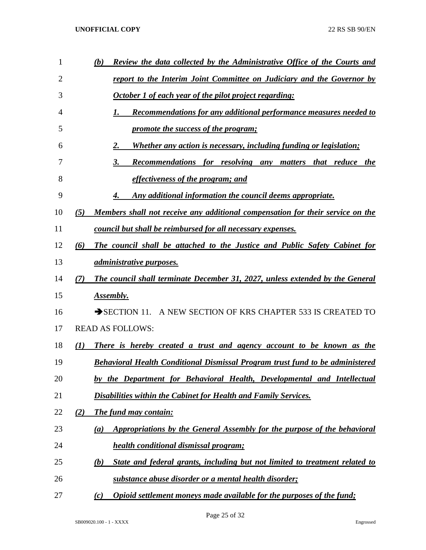| 1  | Review the data collected by the Administrative Office of the Courts and<br>(b)               |
|----|-----------------------------------------------------------------------------------------------|
| 2  | <u>report to the Interim Joint Committee on Judiciary and the Governor by</u>                 |
| 3  | October 1 of each year of the pilot project regarding:                                        |
| 4  | Recommendations for any additional performance measures needed to<br>1.                       |
| 5  | promote the success of the program;                                                           |
| 6  | <u>Whether any action is necessary, including funding or legislation;</u><br>2.               |
| 7  | 3.<br><b>Recommendations for resolving any matters</b><br>that reduce the                     |
| 8  | <u>effectiveness of the program; and</u>                                                      |
| 9  | Any additional information the council deems appropriate.<br>4.                               |
| 10 | Members shall not receive any additional compensation for their service on the<br>(5)         |
| 11 | council but shall be reimbursed for all necessary expenses.                                   |
| 12 | (6)<br>The council shall be attached to the Justice and Public Safety Cabinet for             |
| 13 | <i><u>administrative purposes.</u></i>                                                        |
| 14 | The council shall terminate December 31, 2027, unless extended by the General<br>(7)          |
| 15 | Assembly.                                                                                     |
| 16 | SECTION 11. A NEW SECTION OF KRS CHAPTER 533 IS CREATED TO                                    |
| 17 | <b>READ AS FOLLOWS:</b>                                                                       |
| 18 | There is hereby created a trust and agency account to be known as the<br>(I)                  |
| 19 | <b>Behavioral Health Conditional Dismissal Program trust fund to be administered</b>          |
| 20 | by the Department for Behavioral Health, Developmental and Intellectual                       |
| 21 | <b>Disabilities within the Cabinet for Health and Family Services.</b>                        |
| 22 | (2)<br><b>The fund may contain:</b>                                                           |
| 23 | Appropriations by the General Assembly for the purpose of the behavioral<br>$\left( a\right)$ |
| 24 | health conditional dismissal program;                                                         |
| 25 | State and federal grants, including but not limited to treatment related to<br>(b)            |
| 26 | <b><u>substance abuse disorder or a mental health disorder;</u></b>                           |
| 27 | Opioid settlement moneys made available for the purposes of the fund;<br>(c)                  |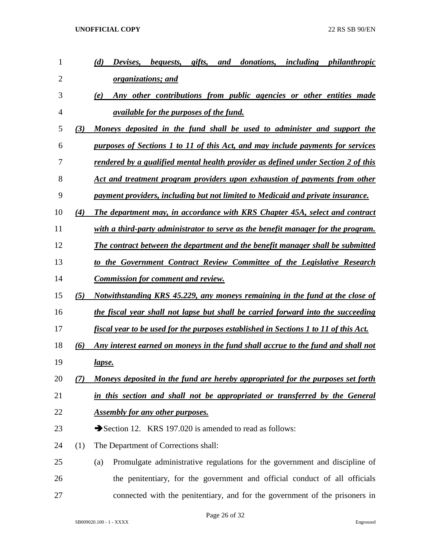| 1  |     | (d)<br>Devises,<br><i>bequests,</i><br>gifts,<br>donations,<br>including<br>philanthropic<br>and |
|----|-----|--------------------------------------------------------------------------------------------------|
| 2  |     | <u>organizations; and</u>                                                                        |
| 3  |     | Any other contributions from public agencies or other entities made<br>(e)                       |
| 4  |     | <i><u>available for the purposes of the fund.</u></i>                                            |
| 5  | (3) | Moneys deposited in the fund shall be used to administer and support the                         |
| 6  |     | purposes of Sections 1 to 11 of this Act, and may include payments for services                  |
| 7  |     | rendered by a qualified mental health provider as defined under Section 2 of this                |
| 8  |     | Act and treatment program providers upon exhaustion of payments from other                       |
| 9  |     | payment providers, including but not limited to Medicaid and private insurance.                  |
| 10 | (4) | The department may, in accordance with KRS Chapter 45A, select and contract                      |
| 11 |     | with a third-party administrator to serve as the benefit manager for the program.                |
| 12 |     | The contract between the department and the benefit manager shall be submitted                   |
| 13 |     | to the Government Contract Review Committee of the Legislative Research                          |
| 14 |     | <b>Commission for comment and review.</b>                                                        |
| 15 | (5) | Notwithstanding KRS 45.229, any moneys remaining in the fund at the close of                     |
| 16 |     | the fiscal year shall not lapse but shall be carried forward into the succeeding                 |
| 17 |     | fiscal year to be used for the purposes established in Sections 1 to 11 of this Act.             |
| 18 | (6) | Any interest earned on moneys in the fund shall accrue to the fund and shall not                 |
| 19 |     | <u>lapse.</u>                                                                                    |
| 20 | (7) | Moneys deposited in the fund are hereby appropriated for the purposes set forth                  |
| 21 |     | in this section and shall not be appropriated or transferred by the General                      |
| 22 |     | <b>Assembly for any other purposes.</b>                                                          |
| 23 |     | Section 12. KRS 197.020 is amended to read as follows:                                           |
| 24 | (1) | The Department of Corrections shall:                                                             |
| 25 |     | Promulgate administrative regulations for the government and discipline of<br>(a)                |
| 26 |     | the penitentiary, for the government and official conduct of all officials                       |
| 27 |     | connected with the penitentiary, and for the government of the prisoners in                      |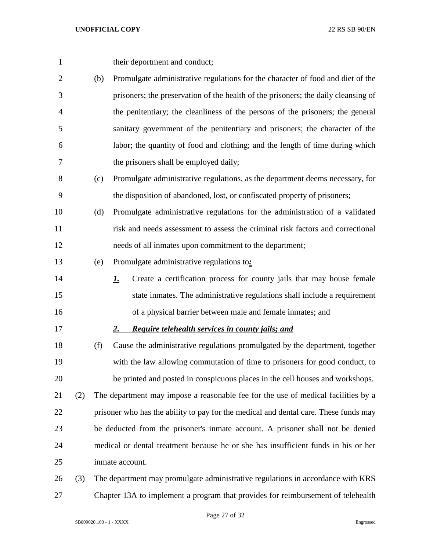- 1 their deportment and conduct;
- (b) Promulgate administrative regulations for the character of food and diet of the prisoners; the preservation of the health of the prisoners; the daily cleansing of the penitentiary; the cleanliness of the persons of the prisoners; the general sanitary government of the penitentiary and prisoners; the character of the labor; the quantity of food and clothing; and the length of time during which the prisoners shall be employed daily;
- (c) Promulgate administrative regulations, as the department deems necessary, for the disposition of abandoned, lost, or confiscated property of prisoners;
- (d) Promulgate administrative regulations for the administration of a validated risk and needs assessment to assess the criminal risk factors and correctional needs of all inmates upon commitment to the department;
- (e) Promulgate administrative regulations to*:*
- *1.* Create a certification process for county jails that may house female state inmates. The administrative regulations shall include a requirement of a physical barrier between male and female inmates; and
- *2. Require telehealth services in county jails; and*
- (f) Cause the administrative regulations promulgated by the department, together with the law allowing commutation of time to prisoners for good conduct, to be printed and posted in conspicuous places in the cell houses and workshops. (2) The department may impose a reasonable fee for the use of medical facilities by a
- prisoner who has the ability to pay for the medical and dental care. These funds may be deducted from the prisoner's inmate account. A prisoner shall not be denied medical or dental treatment because he or she has insufficient funds in his or her inmate account.
- (3) The department may promulgate administrative regulations in accordance with KRS Chapter 13A to implement a program that provides for reimbursement of telehealth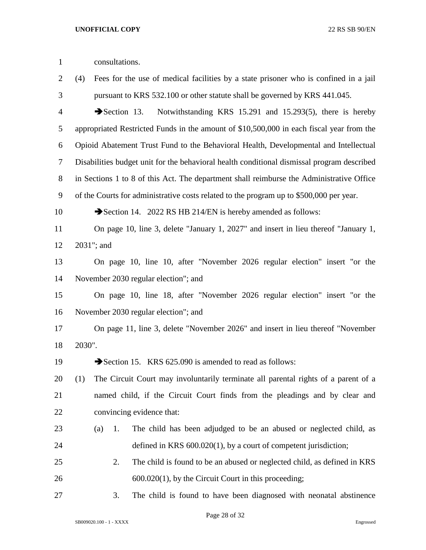| $\mathbf{1}$   | consultations.                                                                              |
|----------------|---------------------------------------------------------------------------------------------|
| 2              | Fees for the use of medical facilities by a state prisoner who is confined in a jail<br>(4) |
| 3              | pursuant to KRS 532.100 or other statute shall be governed by KRS 441.045.                  |
| $\overline{4}$ | Notwithstanding KRS 15.291 and 15.293(5), there is hereby<br>$\rightarrow$ Section 13.      |
| 5              | appropriated Restricted Funds in the amount of \$10,500,000 in each fiscal year from the    |
| 6              | Opioid Abatement Trust Fund to the Behavioral Health, Developmental and Intellectual        |
| 7              | Disabilities budget unit for the behavioral health conditional dismissal program described  |
| $8\,$          | in Sections 1 to 8 of this Act. The department shall reimburse the Administrative Office    |
| 9              | of the Courts for administrative costs related to the program up to \$500,000 per year.     |
| 10             | Section 14. 2022 RS HB 214/EN is hereby amended as follows:                                 |
| 11             | On page 10, line 3, delete "January 1, 2027" and insert in lieu thereof "January 1,         |
| 12             | 2031"; and                                                                                  |
| 13             | On page 10, line 10, after "November 2026 regular election" insert "or the                  |
| 14             | November 2030 regular election"; and                                                        |
| 15             | On page 10, line 18, after "November 2026 regular election" insert "or the                  |
| 16             | November 2030 regular election"; and                                                        |
| 17             | On page 11, line 3, delete "November 2026" and insert in lieu thereof "November"            |
| 18             | 2030".                                                                                      |
| 19             | Section 15. KRS 625.090 is amended to read as follows:                                      |
| 20             | The Circuit Court may involuntarily terminate all parental rights of a parent of a<br>(1)   |
| 21             | named child, if the Circuit Court finds from the pleadings and by clear and                 |
| 22             | convincing evidence that:                                                                   |
| 23             | The child has been adjudged to be an abused or neglected child, as<br>(a)<br>1.             |
| 24             | defined in KRS $600.020(1)$ , by a court of competent jurisdiction;                         |
| 25             | 2.<br>The child is found to be an abused or neglected child, as defined in KRS              |
| 26             | $600.020(1)$ , by the Circuit Court in this proceeding;                                     |
| 27             | The child is found to have been diagnosed with neonatal abstinence<br>3.                    |

Page 28 of 32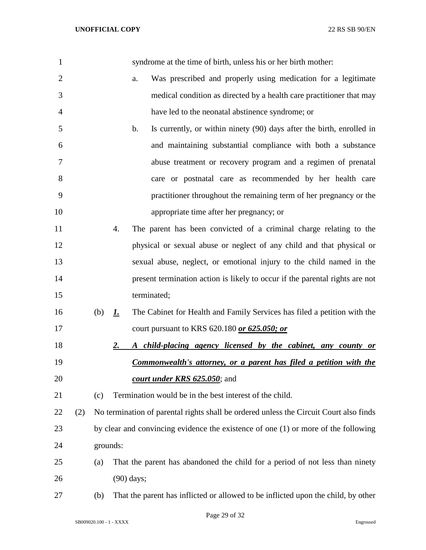| 1              |     |          |    | syndrome at the time of birth, unless his or her birth mother:                          |
|----------------|-----|----------|----|-----------------------------------------------------------------------------------------|
| $\overline{2}$ |     |          |    | Was prescribed and properly using medication for a legitimate<br>a.                     |
| 3              |     |          |    | medical condition as directed by a health care practitioner that may                    |
| 4              |     |          |    | have led to the neonatal abstinence syndrome; or                                        |
| 5              |     |          |    | Is currently, or within ninety (90) days after the birth, enrolled in<br>$\mathbf{b}$ . |
| 6              |     |          |    | and maintaining substantial compliance with both a substance                            |
| 7              |     |          |    | abuse treatment or recovery program and a regimen of prenatal                           |
| 8              |     |          |    | care or postnatal care as recommended by her health care                                |
| 9              |     |          |    | practitioner throughout the remaining term of her pregnancy or the                      |
| 10             |     |          |    | appropriate time after her pregnancy; or                                                |
| 11             |     |          | 4. | The parent has been convicted of a criminal charge relating to the                      |
| 12             |     |          |    | physical or sexual abuse or neglect of any child and that physical or                   |
| 13             |     |          |    | sexual abuse, neglect, or emotional injury to the child named in the                    |
| 14             |     |          |    | present termination action is likely to occur if the parental rights are not            |
| 15             |     |          |    | terminated;                                                                             |
| 16             |     | (b)      | 1. | The Cabinet for Health and Family Services has filed a petition with the                |
| 17             |     |          |    | court pursuant to KRS 620.180 or 625.050; or                                            |
| 18             |     |          | 2. | A child-placing agency licensed by the cabinet, any county or                           |
| 19             |     |          |    | <b>Commonwealth's attorney, or a parent has filed a petition with the</b>               |
| 20             |     |          |    | <i>court under KRS 625.050</i> ; and                                                    |
| 21             |     | (c)      |    | Termination would be in the best interest of the child.                                 |
| 22             | (2) |          |    | No termination of parental rights shall be ordered unless the Circuit Court also finds  |
| 23             |     |          |    | by clear and convincing evidence the existence of one $(1)$ or more of the following    |
| 24             |     | grounds: |    |                                                                                         |
| 25             |     | (a)      |    | That the parent has abandoned the child for a period of not less than ninety            |
| 26             |     |          |    | $(90)$ days;                                                                            |
| 27             |     | (b)      |    | That the parent has inflicted or allowed to be inflicted upon the child, by other       |
|                |     |          |    |                                                                                         |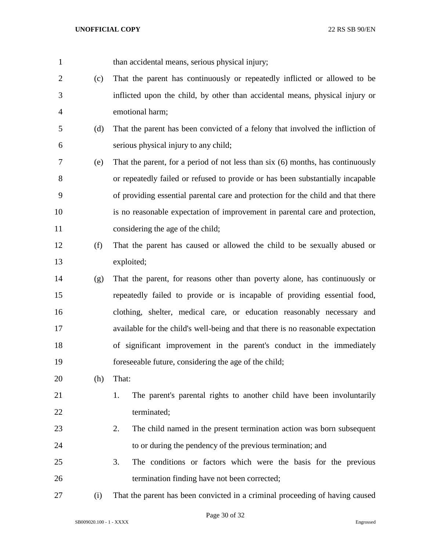| $\mathbf{1}$   |     | than accidental means, serious physical injury;                                  |
|----------------|-----|----------------------------------------------------------------------------------|
| $\overline{2}$ | (c) | That the parent has continuously or repeatedly inflicted or allowed to be        |
| 3              |     | inflicted upon the child, by other than accidental means, physical injury or     |
| $\overline{4}$ |     | emotional harm;                                                                  |
| 5              | (d) | That the parent has been convicted of a felony that involved the infliction of   |
| 6              |     | serious physical injury to any child;                                            |
| 7              | (e) | That the parent, for a period of not less than six (6) months, has continuously  |
| 8              |     | or repeatedly failed or refused to provide or has been substantially incapable   |
| 9              |     | of providing essential parental care and protection for the child and that there |
| 10             |     | is no reasonable expectation of improvement in parental care and protection,     |
| 11             |     | considering the age of the child;                                                |
| 12             | (f) | That the parent has caused or allowed the child to be sexually abused or         |
| 13             |     | exploited;                                                                       |
| 14             | (g) | That the parent, for reasons other than poverty alone, has continuously or       |
| 15             |     | repeatedly failed to provide or is incapable of providing essential food,        |
| 16             |     | clothing, shelter, medical care, or education reasonably necessary and           |
| 17             |     | available for the child's well-being and that there is no reasonable expectation |
| 18             |     | of significant improvement in the parent's conduct in the immediately            |
| 19             |     | foreseeable future, considering the age of the child;                            |
| 20             | (h) | That:                                                                            |
| 21             |     | The parent's parental rights to another child have been involuntarily<br>1.      |
| 22             |     | terminated;                                                                      |
| 23             |     | The child named in the present termination action was born subsequent<br>2.      |
| 24             |     | to or during the pendency of the previous termination; and                       |
| 25             |     | The conditions or factors which were the basis for the previous<br>3.            |
| 26             |     | termination finding have not been corrected;                                     |
| 27             | (i) | That the parent has been convicted in a criminal proceeding of having caused     |

Page 30 of 32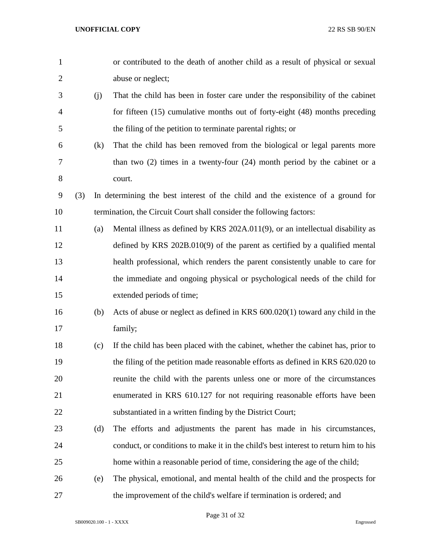| $\mathbf{1}$   |     |     | or contributed to the death of another child as a result of physical or sexual      |
|----------------|-----|-----|-------------------------------------------------------------------------------------|
| $\overline{2}$ |     |     | abuse or neglect;                                                                   |
| 3              |     | (j) | That the child has been in foster care under the responsibility of the cabinet      |
| $\overline{4}$ |     |     | for fifteen (15) cumulative months out of forty-eight (48) months preceding         |
| 5              |     |     | the filing of the petition to terminate parental rights; or                         |
| 6              |     | (k) | That the child has been removed from the biological or legal parents more           |
| 7              |     |     | than two $(2)$ times in a twenty-four $(24)$ month period by the cabinet or a       |
| 8              |     |     | court.                                                                              |
| 9              | (3) |     | In determining the best interest of the child and the existence of a ground for     |
| 10             |     |     | termination, the Circuit Court shall consider the following factors:                |
| 11             |     | (a) | Mental illness as defined by KRS 202A.011(9), or an intellectual disability as      |
| 12             |     |     | defined by KRS $202B.010(9)$ of the parent as certified by a qualified mental       |
| 13             |     |     | health professional, which renders the parent consistently unable to care for       |
| 14             |     |     | the immediate and ongoing physical or psychological needs of the child for          |
| 15             |     |     | extended periods of time;                                                           |
| 16             |     | (b) | Acts of abuse or neglect as defined in KRS 600.020(1) toward any child in the       |
| 17             |     |     | family;                                                                             |
| 18             |     | (c) | If the child has been placed with the cabinet, whether the cabinet has, prior to    |
| 19             |     |     | the filing of the petition made reasonable efforts as defined in KRS 620.020 to     |
| 20             |     |     | reunite the child with the parents unless one or more of the circumstances          |
| 21             |     |     | enumerated in KRS 610.127 for not requiring reasonable efforts have been            |
| 22             |     |     | substantiated in a written finding by the District Court;                           |
| 23             |     | (d) | The efforts and adjustments the parent has made in his circumstances,               |
| 24             |     |     | conduct, or conditions to make it in the child's best interest to return him to his |
| 25             |     |     | home within a reasonable period of time, considering the age of the child;          |
| 26             |     | (e) | The physical, emotional, and mental health of the child and the prospects for       |
| 27             |     |     | the improvement of the child's welfare if termination is ordered; and               |

Page 31 of 32